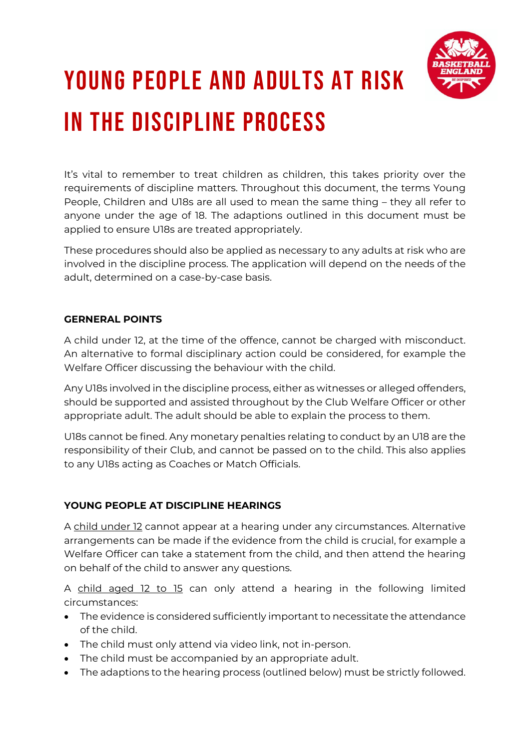

## young people and adults at risk in the discipline process

It's vital to remember to treat children as children, this takes priority over the requirements of discipline matters. Throughout this document, the terms Young People, Children and U18s are all used to mean the same thing – they all refer to anyone under the age of 18. The adaptions outlined in this document must be applied to ensure U18s are treated appropriately.

These procedures should also be applied as necessary to any adults at risk who are involved in the discipline process. The application will depend on the needs of the adult, determined on a case-by-case basis.

## **GERNERAL POINTS**

A child under 12, at the time of the offence, cannot be charged with misconduct. An alternative to formal disciplinary action could be considered, for example the Welfare Officer discussing the behaviour with the child.

Any U18s involved in the discipline process, either as witnesses or alleged offenders, should be supported and assisted throughout by the Club Welfare Officer or other appropriate adult. The adult should be able to explain the process to them.

U18s cannot be fined. Any monetary penalties relating to conduct by an U18 are the responsibility of their Club, and cannot be passed on to the child. This also applies to any U18s acting as Coaches or Match Officials.

## **YOUNG PEOPLE AT DISCIPLINE HEARINGS**

A child under 12 cannot appear at a hearing under any circumstances. Alternative arrangements can be made if the evidence from the child is crucial, for example a Welfare Officer can take a statement from the child, and then attend the hearing on behalf of the child to answer any questions.

A child aged 12 to 15 can only attend a hearing in the following limited circumstances:

- The evidence is considered sufficiently important to necessitate the attendance of the child.
- The child must only attend via video link, not in-person.
- The child must be accompanied by an appropriate adult.
- The adaptions to the hearing process (outlined below) must be strictly followed.